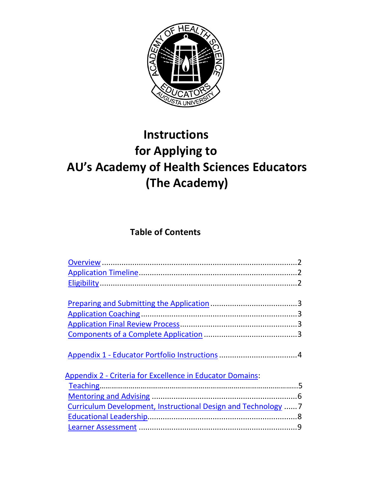

# **Instructions for Applying to AU's Academy of Health Sciences Educators (The Academy)**

### **Table of Contents**

| <b>Appendix 2 - Criteria for Excellence in Educator Domains:</b> |  |
|------------------------------------------------------------------|--|
|                                                                  |  |
|                                                                  |  |
| Curriculum Development, Instructional Design and Technology      |  |
|                                                                  |  |
|                                                                  |  |
|                                                                  |  |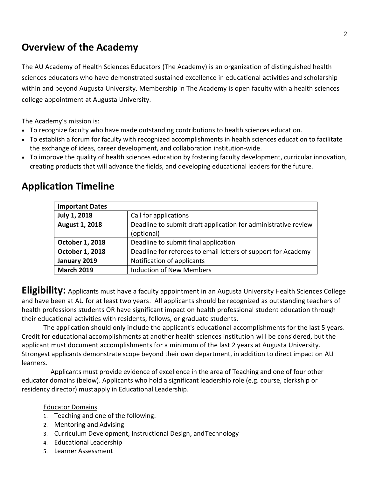# <span id="page-1-0"></span>**Overview of the Academy**

The AU Academy of Health Sciences Educators (The Academy) is an organization of distinguished health sciences educators who have demonstrated sustained excellence in educational activities and scholarship within and beyond Augusta University. Membership in The Academy is open faculty with a health sciences college appointment at Augusta University.

The Academy's mission is:

- To recognize faculty who have made outstanding contributions to health sciences education.
- To establish a forum for faculty with recognized accomplishments in health sciences education to facilitate the exchange of ideas, career development, and collaboration institution-wide.
- To improve the quality of health sciences education by fostering faculty development, curricular innovation, creating products that will advance the fields, and developing educational leaders for the future.

| <b>Important Dates</b> |                                                                |
|------------------------|----------------------------------------------------------------|
| July 1, 2018           | Call for applications                                          |
| <b>August 1, 2018</b>  | Deadline to submit draft application for administrative review |
|                        | (optional)                                                     |
| October 1, 2018        | Deadline to submit final application                           |
| October 1, 2018        | Deadline for referees to email letters of support for Academy  |
| January 2019           | Notification of applicants                                     |
| <b>March 2019</b>      | <b>Induction of New Members</b>                                |

### <span id="page-1-1"></span>**Application Timeline**

<span id="page-1-2"></span>**Eligibility:** Applicants must have a faculty appointment in an Augusta University Health Sciences College and have been at AU for at least two years. All applicants should be recognized as outstanding teachers of health professions students OR have significant impact on health professional student education through their educational activities with residents, fellows, or graduate students.

The application should only include the applicant's educational accomplishments for the last 5 years. Credit for educational accomplishments at another health sciences institution will be considered, but the applicant must document accomplishments for a minimum of the last 2 years at Augusta University. Strongest applicants demonstrate scope beyond their own department, in addition to direct impact on AU learners.

Applicants must provide evidence of excellence in the area of Teaching and one of four other educator domains (below). Applicants who hold a significant leadership role (e.g. course, clerkship or residency director) mustapply in Educational Leadership.

### Educator Domains

- 1. Teaching and one of the following:
- 2. Mentoring and Advising
- 3. Curriculum Development, Instructional Design, andTechnology
- 4. Educational Leadership
- 5. Learner Assessment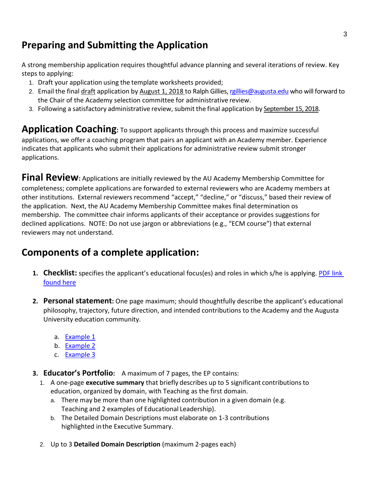# <span id="page-2-0"></span>**Preparing and Submitting the Application**

A strong membership application requires thoughtful advance planning and several iterations of review. Key steps to applying:

- 1. Draft your application using the template worksheets provided;
- 2. Email the final draft application by August 1, 2018 to Ralph Gillies[, rgillies@augusta.edu](mailto:rgillies@augusta.edu) who will forward to the Chair of the Academy selection committee for administrative review.
- 3. Following a satisfactory administrative review, submit the final application by September 15, 2018.

<span id="page-2-1"></span>**Application Coaching:** To support applicants through this process and maximize successful applications, we offer a coaching program that pairs an applicant with an Academy member. Experience indicates that applicants who submit their applications for administrative review submit stronger applications.

**Final Review:** Applications are initially reviewed by the AU Academy Membership Committee for completeness; complete applications are forwarded to external reviewers who are Academy members at other institutions. External reviewers recommend "accept," "decline," or "discuss," based their review of the application. Next, the AU Academy Membership Committee makes final determination os membership. The committee chair informs applicants of their acceptance or provides suggestions for declined applications. NOTE: Do not use jargon or abbreviations (e.g., "ECM course") that external reviewers may not understand.

# <span id="page-2-2"></span>**Components of a complete application:**

- **1. Checklist:** specifies the applicant's educational focus(es) and roles in which s/he is applying. [PDF link](https://www.augusta.edu/mcg/academic-affairs/aae/documents/checklist_academy18.pdf)  [found here](https://www.augusta.edu/mcg/academic-affairs/aae/documents/checklist_academy18.pdf)
- **2. Personal statement:** One page maximum; should thoughtfully describe the applicant's educational philosophy, trajectory, future direction, and intended contributions to the Academy and the Augusta University education community.
	- a. [Example 1](https://www.augusta.edu/mcg/academic-affairs/aae/documents/statement1.pdf)
	- b. [Example 2](https://www.augusta.edu/mcg/academic-affairs/aae/documents/statement2.pdf)
	- c. [Example 3](https://www.augusta.edu/mcg/academic-affairs/aae/documents/personalstatementsample.pdf)
- **3. Educator's Portfolio:** A maximum of 7 pages, the EP contains:
	- 1. A one-page **executive summary** that briefly describes up to 5 significant contributionsto education, organized by domain, with Teaching as the first domain.
		- a. There may be more than one highlighted contribution in a given domain (e.g. Teaching and 2 examples of Educational Leadership).
		- b. The Detailed Domain Descriptions must elaborate on 1-3 contributions highlighted inthe Executive Summary.
	- 2. Up to 3 **Detailed Domain Description** (maximum 2-pages each)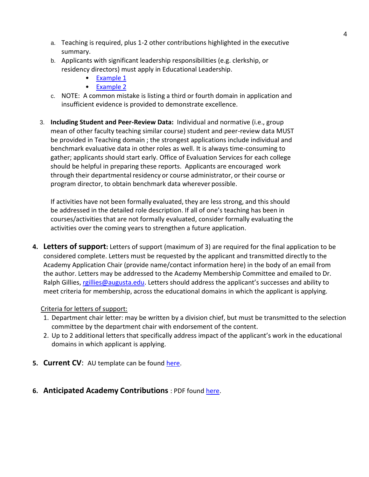- a. Teaching is required, plus 1-2 other contributions highlighted in the executive summary.
- b. Applicants with significant leadership responsibilities (e.g. clerkship, or residency directors) must apply in Educational Leadership.
	- [Example 1](https://www.augusta.edu/mcg/academic-affairs/aae/documents/eportfoliosample.pdf)
	- [Example 2](https://www.augusta.edu/mcg/academic-affairs/aae/documents/epbolg.pdf)
- c. NOTE: A common mistake is listing a third or fourth domain in application and insufficient evidence is provided to demonstrate excellence.
- 3. **Including Student and Peer-Review Data:** Individual and normative (i.e., group mean of other faculty teaching similar course) student and peer-review data MUST be provided in Teaching domain ; the strongest applications include individual and benchmark evaluative data in other roles as well. It is always time-consuming to gather; applicants should start early. Office of Evaluation Services for each college should be helpful in preparing these reports. Applicants are encouraged work through their departmental residency or course administrator, or their course or program director, to obtain benchmark data wherever possible.

If activities have not been formally evaluated, they are less strong, and this should be addressed in the detailed role description. If all of one's teaching has been in courses/activities that are not formally evaluated, consider formally evaluating the activities over the coming years to strengthen a future application.

**4. Letters of support:** Letters of support (maximum of 3) are required for the final application to be considered complete. Letters must be requested by the applicant and transmitted directly to the Academy Application Chair (provide name/contact information here) in the body of an email from the author. Letters may be addressed to the Academy Membership Committee and emailed to Dr. Ralph Gillies, [rgillies@augusta.edu.](mailto:rgillies@augusta.edu) Letters should address the applicant's successes and ability to meet criteria for membership, across the educational domains in which the applicant is applying.

### Criteria for letters of support:

- 1. Department chair letter: may be written by a division chief, but must be transmitted to the selection committee by the department chair with endorsement of the content.
- 2. Up to 2 additional letters that specifically address impact of the applicant's work in the educational domains in which applicant is applying.
- **5. Current CV:** AU template can be found [here.](https://www.augusta.edu/hr/faculty-support-ser/procedures/documents/curriculumvitae.pdf)

### **6. Anticipated Academy Contributions** : PDF found [here.](https://www.augusta.edu/mcg/academic-affairs/aae/documents/anticipated_services18.pdf)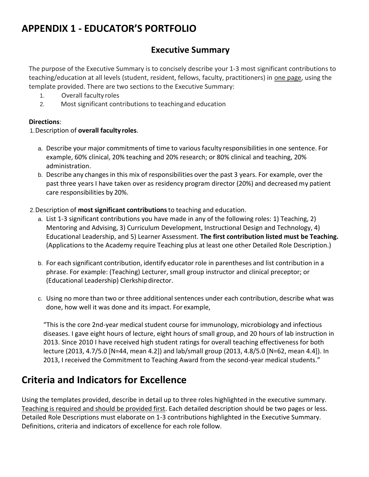# <span id="page-4-0"></span>**APPENDIX 1 - EDUCATOR'S PORTFOLIO**

### **Executive Summary**

The purpose of the Executive Summary is to concisely describe your 1-3 most significant contributions to teaching/education at all levels (student, resident, fellows, faculty, practitioners) in one page, using the template provided. There are two sections to the Executive Summary:

- 1. Overall faculty roles
- 2. Most significant contributions to teachingand education

### **Directions**:

### 1.Description of **overall faculty roles**.

- a. Describe your major commitments of time to various faculty responsibilitiesin one sentence. For example, 60% clinical, 20% teaching and 20% research; or 80% clinical and teaching, 20% administration.
- b. Describe any changes in this mix of responsibilities over the past 3 years. For example, over the past three years I have taken over as residency program director (20%) and decreased my patient care responsibilities by 20%.
- 2.Description of **most significant contributions**to teaching and education.
	- a. List 1-3 significant contributions you have made in any of the following roles: 1) Teaching, 2) Mentoring and Advising, 3) Curriculum Development, Instructional Design and Technology, 4) Educational Leadership, and 5) Learner Assessment. **The first contribution listed must be Teaching.**  (Applications to the Academy require Teaching plus at least one other Detailed Role Description.)
	- b. For each significant contribution, identify educator role in parentheses and list contribution in a phrase. For example: (Teaching) Lecturer, small group instructor and clinical preceptor; or (Educational Leadership) Clerkshipdirector.
	- c. Using no more than two or three additional sentences under each contribution, describe what was done, how well it was done and its impact. For example,

"This is the core 2nd-year medical student course for immunology, microbiology and infectious diseases. I gave eight hours of lecture, eight hours of small group, and 20 hours of lab instruction in 2013. Since 2010 I have received high student ratings for overall teaching effectiveness for both lecture (2013, 4.7/5.0 [N=44, mean 4.2]) and lab/small group (2013, 4.8/5.0 [N=62, mean 4.4]). In 2013, I received the Commitment to Teaching Award from the second-year medical students."

# **Criteria and Indicators for Excellence**

Using the templates provided, describe in detail up to three roles highlighted in the executive summary. Teaching is required and should be provided first. Each detailed description should be two pages or less. Detailed Role Descriptions must elaborate on 1-3 contributions highlighted in the Executive Summary. Definitions, criteria and indicators of excellence for each role follow.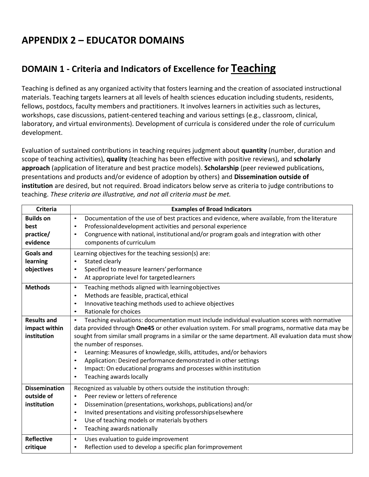# <span id="page-5-0"></span>**APPENDIX 2 – EDUCATOR DOMAINS**

# <span id="page-5-1"></span>**DOMAIN 1 - Criteria and Indicators of Excellence for Teaching**

Teaching is defined as any organized activity that fosters learning and the creation of associated instructional materials. Teaching targets learners at all levels of health sciences education including students, residents, fellows, postdocs, faculty members and practitioners. It involves learners in activities such as lectures, workshops, case discussions, patient-centered teaching and various settings (e.g., classroom, clinical, laboratory, and virtual environments). Development of curricula is considered under the role of curriculum development.

Evaluation of sustained contributions in teaching requires judgment about **quantity** (number, duration and scope of teaching activities), **quality** (teaching has been effective with positive reviews), and **scholarly approach** (application of literature and best practice models). **Scholarship** (peer reviewed publications, presentations and products and/or evidence of adoption by others) and **Dissemination outside of institution** are desired, but not required. Broad indicators below serve as criteria to judge contributions to teaching. *These criteria are illustrative, and not all criteria must be met.* 

| <b>Criteria</b>                                    | <b>Examples of Broad Indicators</b>                                                                                                                                                                                                                                                                                                                                                                                                                                                                                                                                                                                                               |
|----------------------------------------------------|---------------------------------------------------------------------------------------------------------------------------------------------------------------------------------------------------------------------------------------------------------------------------------------------------------------------------------------------------------------------------------------------------------------------------------------------------------------------------------------------------------------------------------------------------------------------------------------------------------------------------------------------------|
| <b>Builds on</b><br>best<br>practice/<br>evidence  | Documentation of the use of best practices and evidence, where available, from the literature<br>$\bullet$<br>Professionaldevelopment activities and personal experience<br>٠<br>Congruence with national, institutional and/or program goals and integration with other<br>$\bullet$<br>components of curriculum                                                                                                                                                                                                                                                                                                                                 |
| <b>Goals and</b><br>learning<br>objectives         | Learning objectives for the teaching session(s) are:<br>Stated clearly<br>$\bullet$<br>Specified to measure learners' performance<br>$\bullet$<br>At appropriate level for targeted learners<br>$\bullet$                                                                                                                                                                                                                                                                                                                                                                                                                                         |
| <b>Methods</b>                                     | Teaching methods aligned with learningobjectives<br>$\bullet$<br>Methods are feasible, practical, ethical<br>$\bullet$<br>Innovative teaching methods used to achieve objectives<br>$\bullet$<br>Rationale for choices<br>$\bullet$                                                                                                                                                                                                                                                                                                                                                                                                               |
| <b>Results and</b><br>impact within<br>institution | Teaching evaluations: documentation must include individual evaluation scores with normative<br>$\bullet$<br>data provided through One45 or other evaluation system. For small programs, normative data may be<br>sought from similar small programs in a similar or the same department. All evaluation data must show<br>the number of responses.<br>Learning: Measures of knowledge, skills, attitudes, and/or behaviors<br>$\bullet$<br>Application: Desired performance demonstrated in other settings<br>$\bullet$<br>Impact: On educational programs and processes within institution<br>$\bullet$<br>Teaching awards locally<br>$\bullet$ |
| <b>Dissemination</b><br>outside of<br>institution  | Recognized as valuable by others outside the institution through:<br>Peer review or letters of reference<br>$\bullet$<br>Dissemination (presentations, workshops, publications) and/or<br>$\bullet$<br>Invited presentations and visiting professorshipselsewhere<br>$\bullet$<br>Use of teaching models or materials by others<br>$\bullet$<br>Teaching awards nationally<br>$\bullet$                                                                                                                                                                                                                                                           |
| <b>Reflective</b><br>critique                      | Uses evaluation to guide improvement<br>$\bullet$<br>Reflection used to develop a specific plan forimprovement<br>$\bullet$                                                                                                                                                                                                                                                                                                                                                                                                                                                                                                                       |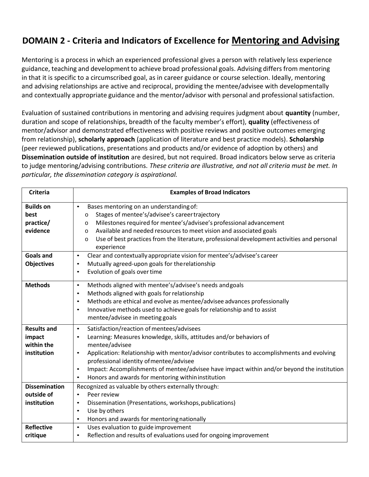# <span id="page-6-0"></span>**DOMAIN 2 - Criteria and Indicators of Excellence for Mentoring and Advising**

Mentoring is a process in which an experienced professional gives a person with relatively less experience guidance, teaching and development to achieve broad professional goals. Advising differs from mentoring in that it is specific to a circumscribed goal, as in career guidance or course selection. Ideally, mentoring and advising relationships are active and reciprocal, providing the mentee/advisee with developmentally and contextually appropriate guidance and the mentor/advisor with personal and professional satisfaction.

Evaluation of sustained contributions in mentoring and advising requires judgment about **quantity** (number, duration and scope of relationships, breadth of the faculty member's effort), **quality** (effectiveness of mentor/advisor and demonstrated effectiveness with positive reviews and positive outcomes emerging from relationship), **scholarly approach** (application of literature and best practice models). **Scholarship**  (peer reviewed publications, presentations and products and/or evidence of adoption by others) and **Dissemination outside of institution** are desired, but not required. Broad indicators below serve as criteria to judge mentoring/advising contributions. *These criteria are illustrative, and not all criteria must be met. In particular, the dissemination category is aspirational.*

| <b>Criteria</b>                                           | <b>Examples of Broad Indicators</b>                                                                                                                                                                                                                                                                                                                                                                                                                                     |
|-----------------------------------------------------------|-------------------------------------------------------------------------------------------------------------------------------------------------------------------------------------------------------------------------------------------------------------------------------------------------------------------------------------------------------------------------------------------------------------------------------------------------------------------------|
| <b>Builds on</b><br>best<br>practice/<br>evidence         | Bases mentoring on an understanding of:<br>$\bullet$<br>Stages of mentee's/advisee's career trajectory<br>o<br>Milestones required for mentee's/advisee's professional advancement<br>o<br>Available and needed resources to meet vision and associated goals<br>$\Omega$<br>Use of best practices from the literature, professional development activities and personal<br>$\Omega$<br>experience                                                                      |
| <b>Goals and</b><br><b>Objectives</b>                     | Clear and contextually appropriate vision for mentee's/advisee's career<br>$\bullet$<br>Mutually agreed-upon goals for therelationship<br>٠<br>Evolution of goals over time<br>٠                                                                                                                                                                                                                                                                                        |
| <b>Methods</b>                                            | Methods aligned with mentee's/advisee's needs and goals<br>$\bullet$<br>Methods aligned with goals for relationship<br>$\bullet$<br>Methods are ethical and evolve as mentee/advisee advances professionally<br>٠<br>Innovative methods used to achieve goals for relationship and to assist<br>$\bullet$<br>mentee/advisee in meeting goals                                                                                                                            |
| <b>Results and</b><br>impact<br>within the<br>institution | Satisfaction/reaction of mentees/advisees<br>$\bullet$<br>Learning: Measures knowledge, skills, attitudes and/or behaviors of<br>٠<br>mentee/advisee<br>Application: Relationship with mentor/advisor contributes to accomplishments and evolving<br>٠<br>professional identity of mentee/advisee<br>Impact: Accomplishments of mentee/advisee have impact within and/or beyond the institution<br>٠<br>Honors and awards for mentoring within institution<br>$\bullet$ |
| <b>Dissemination</b><br>outside of<br>institution         | Recognized as valuable by others externally through:<br>Peer review<br>$\bullet$<br>Dissemination (Presentations, workshops, publications)<br>$\bullet$<br>Use by others<br>$\bullet$<br>Honors and awards for mentoring nationally<br>$\bullet$                                                                                                                                                                                                                        |
| <b>Reflective</b><br>critique                             | Uses evaluation to guide improvement<br>$\bullet$<br>Reflection and results of evaluations used for ongoing improvement<br>٠                                                                                                                                                                                                                                                                                                                                            |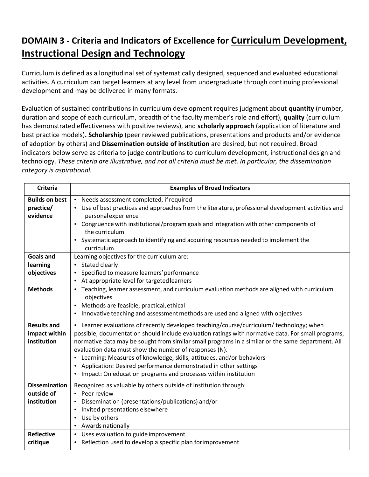# <span id="page-7-0"></span>**DOMAIN 3 - Criteria and Indicators of Excellence for Curriculum Development, Instructional Design and Technology**

Curriculum is defined as a longitudinal set of systematically designed, sequenced and evaluated educational activities. A curriculum can target learners at any level from undergraduate through continuing professional development and may be delivered in many formats.

Evaluation of sustained contributions in curriculum development requires judgment about **quantity** (number, duration and scope of each curriculum, breadth of the faculty member's role and effort), **quality** (curriculum has demonstrated effectiveness with positive reviews), and **scholarly approach** (application of literature and best practice models)**. Scholarship** (peer reviewed publications, presentations and products and/or evidence of adoption by others) and **Dissemination outside of institution** are desired, but not required. Broad indicators below serve as criteria to judge contributions to curriculum development, instructional design and technology. *These criteria are illustrative, and not all criteria must be met. In particular, the dissemination category is aspirational.*

| <b>Criteria</b>                                    | <b>Examples of Broad Indicators</b>                                                                                                                                                                                                                                                                                                                                                                                                                                                                                                                                              |
|----------------------------------------------------|----------------------------------------------------------------------------------------------------------------------------------------------------------------------------------------------------------------------------------------------------------------------------------------------------------------------------------------------------------------------------------------------------------------------------------------------------------------------------------------------------------------------------------------------------------------------------------|
| <b>Builds on best</b><br>practice/<br>evidence     | • Needs assessment completed, if required<br>• Use of best practices and approaches from the literature, professional development activities and<br>personal experience<br>• Congruence with institutional/program goals and integration with other components of<br>the curriculum<br>• Systematic approach to identifying and acquiring resources needed to implement the                                                                                                                                                                                                      |
| <b>Goals and</b><br>learning<br>objectives         | curriculum<br>Learning objectives for the curriculum are:<br>• Stated clearly<br>Specified to measure learners' performance<br>At appropriate level for targeted learners                                                                                                                                                                                                                                                                                                                                                                                                        |
| <b>Methods</b>                                     | Teaching, learner assessment, and curriculum evaluation methods are aligned with curriculum<br>$\bullet$<br>objectives<br>• Methods are feasible, practical, ethical<br>Innovative teaching and assessment methods are used and aligned with objectives                                                                                                                                                                                                                                                                                                                          |
| <b>Results and</b><br>impact within<br>institution | • Learner evaluations of recently developed teaching/course/curriculum/ technology; when<br>possible, documentation should include evaluation ratings with normative data. For small programs,<br>normative data may be sought from similar small programs in a similar or the same department. All<br>evaluation data must show the number of responses (N).<br>• Learning: Measures of knowledge, skills, attitudes, and/or behaviors<br>• Application: Desired performance demonstrated in other settings<br>• Impact: On education programs and processes within institution |
| <b>Dissemination</b><br>outside of<br>institution  | Recognized as valuable by others outside of institution through:<br>• Peer review<br>• Dissemination (presentations/publications) and/or<br>Invited presentations elsewhere<br>Use by others<br>$\bullet$<br>• Awards nationally                                                                                                                                                                                                                                                                                                                                                 |
| <b>Reflective</b><br>critique                      | • Uses evaluation to guide improvement<br>• Reflection used to develop a specific plan forimprovement                                                                                                                                                                                                                                                                                                                                                                                                                                                                            |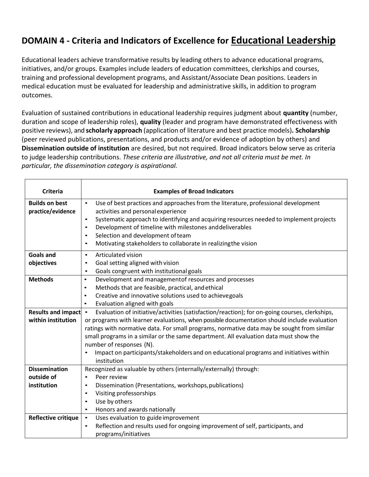# <span id="page-8-0"></span>**DOMAIN 4 - Criteria and Indicators of Excellence for Educational Leadership**

Educational leaders achieve transformative results by leading others to advance educational programs, initiatives, and/or groups. Examples include leaders of education committees, clerkships and courses, training and professional development programs, and Assistant/Associate Dean positions. Leaders in medical education must be evaluated for leadership and administrative skills, in addition to program outcomes.

Evaluation of sustained contributions in educational leadership requires judgment about **quantity** (number, duration and scope of leadership roles), **quality** (leader and program have demonstrated effectiveness with positive reviews), and **scholarly approach** (application of literature and best practice models)**. Scholarship** (peer reviewed publications, presentations, and products and/or evidence of adoption by others) and **Dissemination outside of institution** are desired, but not required. Broad indicators below serve as criteria to judge leadership contributions. *These criteria are illustrative, and not all criteria must be met. In particular, the dissemination category is aspirational.*

| <b>Criteria</b>                            | <b>Examples of Broad Indicators</b>                                                                                                                                                                                                                                                                                                                                                                                                                    |
|--------------------------------------------|--------------------------------------------------------------------------------------------------------------------------------------------------------------------------------------------------------------------------------------------------------------------------------------------------------------------------------------------------------------------------------------------------------------------------------------------------------|
| <b>Builds on best</b><br>practice/evidence | Use of best practices and approaches from the literature, professional development<br>$\bullet$<br>activities and personal experience<br>Systematic approach to identifying and acquiring resources needed to implement projects<br>$\bullet$<br>Development of timeline with milestones and deliverables<br>$\bullet$<br>Selection and development of team<br>$\bullet$<br>Motivating stakeholders to collaborate in realizingthe vision<br>$\bullet$ |
| <b>Goals and</b><br>objectives             | Articulated vision<br>$\bullet$<br>Goal setting aligned with vision<br>$\bullet$                                                                                                                                                                                                                                                                                                                                                                       |
|                                            | Goals congruent with institutional goals<br>$\bullet$                                                                                                                                                                                                                                                                                                                                                                                                  |
| <b>Methods</b>                             | Development and management of resources and processes<br>$\bullet$<br>Methods that are feasible, practical, and ethical<br>$\bullet$<br>Creative and innovative solutions used to achievegoals<br>$\bullet$<br>Evaluation aligned with goals<br>$\bullet$                                                                                                                                                                                              |
| Results and impact                         | Evaluation of initiative/activities (satisfaction/reaction); for on-going courses, clerkships,<br>$\bullet$                                                                                                                                                                                                                                                                                                                                            |
| within institution                         | or programs with learner evaluations, when possible documentation should include evaluation<br>ratings with normative data. For small programs, normative data may be sought from similar<br>small programs in a similar or the same department. All evaluation data must show the                                                                                                                                                                     |
|                                            | number of responses (N).<br>Impact on participants/stakeholders and on educational programs and initiatives within<br>$\bullet$<br>institution                                                                                                                                                                                                                                                                                                         |
| <b>Dissemination</b>                       | Recognized as valuable by others (internally/externally) through:                                                                                                                                                                                                                                                                                                                                                                                      |
| outside of                                 | Peer review<br>$\bullet$                                                                                                                                                                                                                                                                                                                                                                                                                               |
| institution                                | Dissemination (Presentations, workshops, publications)<br>$\bullet$<br>Visiting professorships<br>$\bullet$                                                                                                                                                                                                                                                                                                                                            |
|                                            | Use by others<br>$\bullet$                                                                                                                                                                                                                                                                                                                                                                                                                             |
|                                            | Honors and awards nationally<br>$\bullet$                                                                                                                                                                                                                                                                                                                                                                                                              |
| <b>Reflective critique</b>                 | Uses evaluation to guide improvement<br>$\bullet$<br>Reflection and results used for ongoing improvement of self, participants, and<br>$\bullet$<br>programs/initiatives                                                                                                                                                                                                                                                                               |